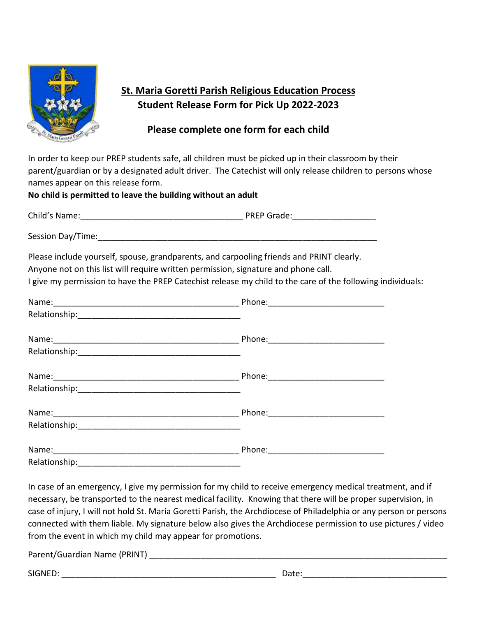

## **St. Maria Goretti Parish Religious Education Process Student Release Form for Pick Up 2022-2023**

## **Please complete one form for each child**

In order to keep our PREP students safe, all children must be picked up in their classroom by their parent/guardian or by a designated adult driver. The Catechist will only release children to persons whose names appear on this release form.

## **No child is permitted to leave the building without an adult**

Child's Name: The Contraction of the PREP Grade:

Session Day/Time:

Please include yourself, spouse, grandparents, and carpooling friends and PRINT clearly.

Anyone not on this list will require written permission, signature and phone call.

I give my permission to have the PREP Catechist release my child to the care of the following individuals:

| Name: 2008 2009 2009 2010 2021 2022 2023 2024 2022 2023 2024 2022 2023 2024 2022 2023 2024 2022 2023 2024 2022 | Phone: __________________________ |
|----------------------------------------------------------------------------------------------------------------|-----------------------------------|
|                                                                                                                |                                   |
|                                                                                                                |                                   |
| Relationship:                                                                                                  |                                   |

In case of an emergency, I give my permission for my child to receive emergency medical treatment, and if necessary, be transported to the nearest medical facility. Knowing that there will be proper supervision, in case of injury, I will not hold St. Maria Goretti Parish, the Archdiocese of Philadelphia or any person or persons connected with them liable. My signature below also gives the Archdiocese permission to use pictures / video from the event in which my child may appear for promotions.

Parent/Guardian Name (PRINT) \_\_\_\_\_\_\_\_\_\_\_\_\_\_\_\_\_\_\_\_\_\_\_\_\_\_\_\_\_\_\_\_\_\_\_\_\_\_\_\_\_\_\_\_\_\_\_\_\_\_\_\_\_\_\_\_\_\_\_\_\_\_\_\_

SIGNED: \_\_\_\_\_\_\_\_\_\_\_\_\_\_\_\_\_\_\_\_\_\_\_\_\_\_\_\_\_\_\_\_\_\_\_\_\_\_\_\_\_\_\_\_\_\_ Date:\_\_\_\_\_\_\_\_\_\_\_\_\_\_\_\_\_\_\_\_\_\_\_\_\_\_\_\_\_\_\_